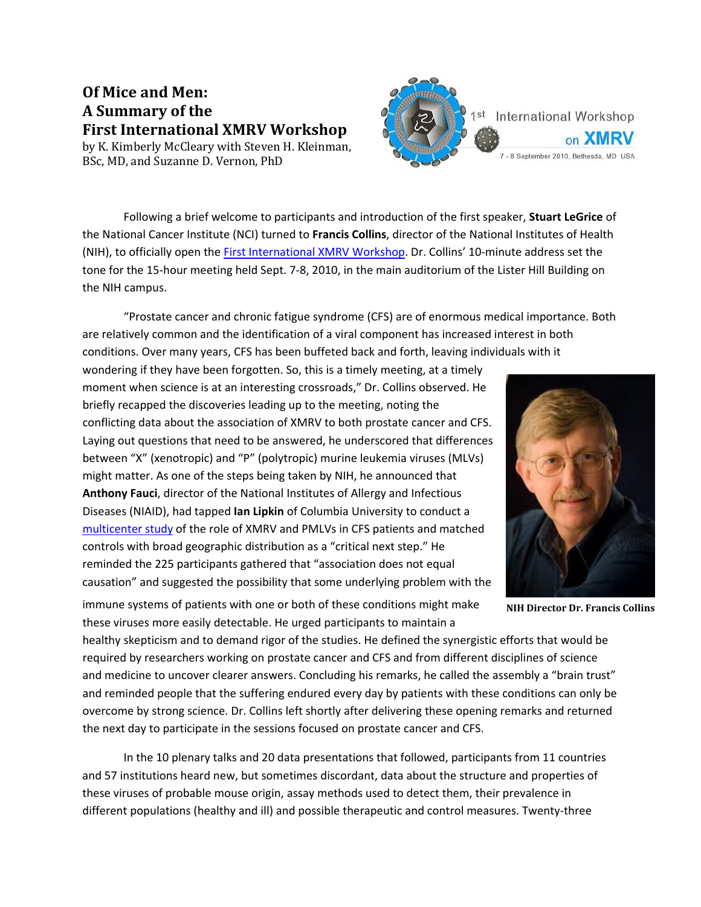# **Of Mice and Men: A Summary of the First International XMRV Workshop**

by K. Kimberly McCleary with Steven H. Kleinman, BSc, MD, and Suzanne D. Vernon, PhD

Following a brief welcome to participants and introduction of the first speaker, **Stuart LeGrice** of the National Cancer Institute (NCI) turned to **Francis Collins**, director of the National Institutes of Health (NIH), to officially open the First [International](http://www.virology-education.com/index.cfm/t/1st_International_Workshop_on_XMRV/vid/1FF10297-0DC4-5841-64634A68A3EC3EF1) XMRV Workshop. Dr. Collins' 10‐minute address set the tone for the 15-hour meeting held Sept. 7-8, 2010, in the main auditorium of the Lister Hill Building on the NIH campus.

"Prostate cancer and chronic fatigue syndrome (CFS) are of enormous medical importance. Both are relatively common and the identification of a viral component has increased interest in both conditions. Over many years, CFS has been buffeted back and forth, leaving individuals with it

wondering if they have been forgotten. So, this is a timely meeting, at a timely moment when science is at an interesting crossroads," Dr. Collins observed. He briefly recapped the discoveries leading up to the meeting, noting the conflicting data about the association of XMRV to both prostate cancer and CFS. Laying out questions that need to be answered, he underscored that differences between "X" (xenotropic) and "P" (polytropic) murine leukemia viruses (MLVs) might matter. As one of the steps being taken by NIH, he announced that **Anthony Fauci**, director of the National Institutes of Allergy and Infectious Diseases (NIAID), had tapped **Ian Lipkin** of Columbia University to conduct a [multicenter](http://blogs.wsj.com/health/2010/09/08/world-class-virus-hunter-to-head-up-the-latest-xmrv-study/?utm_source=feedburner&utm_medium=feed&utm_campaign=Feed%3A+wsj%2Fhealth%2Ffeed+%28WSJ.com%3A+Health+Blog%29&utm_content=Google+Feedfetcher) study of the role of XMRV and PMLVs in CFS patients and matched controls with broad geographic distribution as a "critical next step." He reminded the 225 participants gathered that "association does not equal causation" and suggested the possibility that some underlying problem with the



1st International Workshop

7 - 8 Sentember 2010, Bethesda, MD, USA

on **XMRV** 

**NIH Director Dr. Francis Collins**

immune systems of patients with one or both of these conditions might make these viruses more easily detectable. He urged participants to maintain a

healthy skepticism and to demand rigor of the studies. He defined the synergistic efforts that would be required by researchers working on prostate cancer and CFS and from different disciplines of science and medicine to uncover clearer answers. Concluding his remarks, he called the assembly a "brain trust" and reminded people that the suffering endured every day by patients with these conditions can only be overcome by strong science. Dr. Collins left shortly after delivering these opening remarks and returned the next day to participate in the sessions focused on prostate cancer and CFS.

In the 10 plenary talks and 20 data presentations that followed, participants from 11 countries and 57 institutions heard new, but sometimes discordant, data about the structure and properties of these viruses of probable mouse origin, assay methods used to detect them, their prevalence in different populations (healthy and ill) and possible therapeutic and control measures. Twenty‐three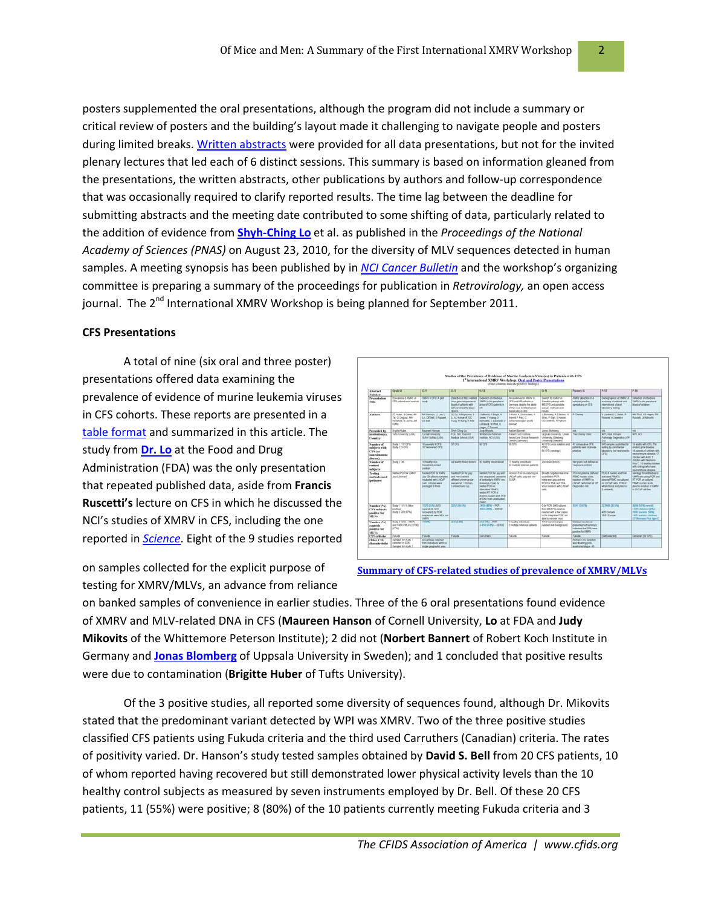posters supplemented the oral presentations, although the program did not include a summary or critical review of posters and the building's layout made it challenging to navigate people and posters during limited breaks. Written [abstracts](http://www.virology-education.com/index.cfm/t/Workshop_material/vid/1A5D65BD-FB8B-8AE1-5E10829372D080B4) were provided for all data presentations, but not for the invited plenary lectures that led each of 6 distinct sessions. This summary is based on information gleaned from the presentations, the written abstracts, other publications by authors and follow-up correspondence that was occasionally required to clarify reported results. The time lag between the deadline for submitting abstracts and the meeting date contributed to some shifting of data, particularly related to the addition of evidence from **Shyh‐[Ching](http://www.pnas.org/content/early/2010/08/16/1006901107.full.pdf+html) Lo** et al. as published in the *Proceedings of the National Academy of Sciences (PNAS)* on August 23, 2010, for the diversity of MLV sequences detected in human samples. A meeting synopsis has been published by in *NCI Cancer [Bulletin](http://www.cancer.gov/ncicancerbulletin/092110/page5)* and the workshop's organizing committee is preparing a summary of the proceedings for publication in *Retrovirology,* an open access journal. The  $2^{nd}$  International XMRV Workshop is being planned for September 2011.

#### **CFS Presentations**

A total of nine (six oral and three poster) presentations offered data examining the prevalence of evidence of murine leukemia viruses in CFS cohorts. These reports are presented in a table [format](http://www.cfids.org/xmrv/wrkshp-data-comparison.pdf) and summarized in this article. The study from **[Dr.](http://regist2.virology-education.com/1XMRV/docs/21_Lo.pdf) Lo** at the Food and Drug Administration (FDA) was the only presentation that repeated published data, aside from **Francis Ruscetti's** lecture on CFS in which he discussed the NCI's studies of XMRV in CFS, including the one reported in *[Science](http://www.cancer.gov/newscenter/pressreleases/CFSxmrv)*. Eight of the 9 studies reported

on samples collected for the explicit purpose of testing for XMRV/MLVs, an advance from reliance

|                                                                                       |                                                                                      |                                                                                                                       |                                                                                                                                                         | 1" International XMRV Workshop: Oral and Poster Presentations                                                                                                                                                                                   | (The column infects postive findings)                                                                                                                     |                                                                                                                                             |                                                                                                   |                                                                                                                                                                    |                                                                                                                                                                                                                                    |
|---------------------------------------------------------------------------------------|--------------------------------------------------------------------------------------|-----------------------------------------------------------------------------------------------------------------------|---------------------------------------------------------------------------------------------------------------------------------------------------------|-------------------------------------------------------------------------------------------------------------------------------------------------------------------------------------------------------------------------------------------------|-----------------------------------------------------------------------------------------------------------------------------------------------------------|---------------------------------------------------------------------------------------------------------------------------------------------|---------------------------------------------------------------------------------------------------|--------------------------------------------------------------------------------------------------------------------------------------------------------------------|------------------------------------------------------------------------------------------------------------------------------------------------------------------------------------------------------------------------------------|
| Abstract<br><b>Number</b>                                                             | Claudi 10                                                                            | <b>OH</b>                                                                                                             | の行                                                                                                                                                      | 0.51                                                                                                                                                                                                                                            | <b>G-18</b>                                                                                                                                               | 6.19                                                                                                                                        | Pitchbert, NC                                                                                     | क्रश                                                                                                                                                               | 下标                                                                                                                                                                                                                                 |
| Presentation<br>Title                                                                 | Presidence of XMPV in<br>CFS patients and contrakt                                   | <b>DAVAGE ASS</b><br>Mid.                                                                                             | Detection of MU contract   Detection of interferent<br>vince gene sedupnous in<br><b>Stage programme for travels</b><br>CFS and feathy blood<br>direct. | KMRV in the perchanal.<br><b>Nood of CFE cultural in</b><br><b>UK</b>                                                                                                                                                                           | No evidence for HMPV in<br>CFS and MS patients in<br>Centrary details the ability<br>of the structure in other framest.<br><b>Straigt pains in yields</b> | Search for SMPV at<br>Swedish collects with<br>MDO'S antorothis<br>current mathematicants<br>mounts.                                        | <b>UMPS deachon in a</b><br>hallohal prachos<br>special project CFS.                              | A VANX to minimize the<br>summary of rudoinal and:<br><b>International climinal</b><br><b><i><u>Ideostav teding</u></i></b>                                        | Detection of effectious.<br><b>KMPV in the partnership</b><br>treated children                                                                                                                                                     |
| Anthors<br>www.                                                                       | <b>RT Hubert R-Chause, Ad-</b><br>Tal O'Coloxie Mit<br>Hendeld S Leona, Jd.<br>Cuffe | Mil Hamon 11 Feb 1<br>Los. DE Ball, D Francet.<br>DS Bell                                                             | <b>IC-Le N Pripadova II</b><br>LL RC Kenneth CC<br>Hung III Marg H Allan                                                                                | J'Marwin, Il Book it<br>Jones, V Huang D.<br>Bertoldis, C.Sadowić, V.<br>Londond, MiPhot H.<br>Hazet Filucatt                                                                                                                                   | C-Holin K Strohomen &<br><b>Stand F Paul C</b><br>Schenbertropen and N<br>Barcrayt                                                                        | J Bonberg A Ellatoot X<br>Silver, F Elvin, S Hennet,<br>CO Gotthias, il Pipkons                                                             | <b>F</b> Cherry                                                                                   | Vinedark / Sahar St<br>Reserve A Lineatory                                                                                                                         | <b>MA Phot XS Hagen FW</b><br><b>Russell Jr. Manufa</b>                                                                                                                                                                            |
| Presented by                                                                          | <b>Dreams Hutter</b>                                                                 | <b>Maureen Hernan</b>                                                                                                 | <b>Unyt-Oting La</b>                                                                                                                                    | Jurb Microfill                                                                                                                                                                                                                                  | <b>Northern Barmers</b>                                                                                                                                   | Jonas Biombaro                                                                                                                              | m                                                                                                 | w                                                                                                                                                                  | ₩                                                                                                                                                                                                                                  |
| <b>Excellentiam(x)</b><br>Country                                                     | Tulks Lincorphy (USA)                                                                | Cornell Limennife<br>SCAN Bullato GIGAS                                                                               | FOA NH Havant<br>Mekind School (USA)                                                                                                                    | <b>Bibliotesta Patentum</b><br><b>HARVEY ROLLERS</b>                                                                                                                                                                                            | <b>Righert Krack Institute</b><br><b>BeoriaTure Clinical Research</b><br>Canter (Germany)                                                                 | Linesda University, Lineal<br><b>Unanchi Gledora</b><br><b>Linuxity (Seebel)</b>                                                            | The Change Clinic                                                                                 | WFL your immune<br>Pathshiel Distinguist AW<br>their                                                                                                               | <b>ER RE</b>                                                                                                                                                                                                                       |
| Number of<br>sablects with<br>CFS (or<br><b><i><u>RESERVATION</u></i></b><br>disease) | <b>Stude 1: 111 CFS:</b><br>Bus 2.10/1.                                              | <b>ID MARRIE &amp; CFS.</b><br>10 Years and OFS.                                                                      | <b>MOS</b>                                                                                                                                              | to O's.                                                                                                                                                                                                                                         | 36 CFA                                                                                                                                                    | 4) CFS bina scatter and [47 compositive CFS.<br><b>PORT</b><br>46 OFS bandopt                                                               | called to reason in private<br>practice                                                           | <b>DC-samples submitted for</b><br>leading by commercial<br>laboratory (list restricted to<br>O'BL                                                                 | 13 adults with CFS, FM.<br>analis Luma Mountain<br>15 parents of children with<br>reunionmura disease, 17<br>IT OSS NO MORE<br>1703 ten with Namann<br>Pick C: 15 Feeding children<br>with site not who have.<br>recrimmure doesne |
| Number of<br>contest<br>infilects                                                     | Stok 2 36                                                                            | <b>IC healthy rices</b><br><b><i><u>Instruction contact</u></i></b><br>cormist.                                       |                                                                                                                                                         | All receive blood down: 150 healths totach downs                                                                                                                                                                                                | 17 healthy includible<br>\$3 multiple schemes patients                                                                                                    | 250 blood donors                                                                                                                            | had great but defined an<br><b>MARGARE CORRENT</b>                                                |                                                                                                                                                                    |                                                                                                                                                                                                                                    |
| Texting<br>methods and<br>(primers)                                                   | Nashad PCR for JMPy<br>steril Hongel                                                 | Nethal PCR for EMRY<br>cast Six plasma samples:<br>Incided with LNCall<br>paint contains sense.<br>partiaged 6 leves. | Nested PCR for your<br>and you francest<br>afferent prime gride<br>Midwhole: Untman.<br>Lonbard and Lot                                                 | Nested PCR for Javano<br>are beguining presence<br>of artificable to Highly are:<br>presence of pad by<br>nested PCR sin<br><b>View Julian FRANCH</b><br>helited RT PCK at<br><b>ISBURE Fucklet actd PCR</b><br>of DSA from unactivated<br>PMSC | Begal PCC Guideants on<br>LMCaP calls; cost and vest<br><b>ELISA</b>                                                                                      | Straity teraded rais fine<br>quantistive PCR<br>integrates, pag and any<br>DOS he Glid worldwid.<br>Virus models on with LMCadi-<br>nels.   | <b>POMO nucleic sixth.</b><br>including of VARIV by<br>LNOAP perhamant at VIP<br>Diagnostics late | FOR an attempt cultures   POR of nucleic aced from<br>activated PAMPs:<br>Insurance: DAR family and<br>IN ENGIN LINK POR at<br>white first and starts<br>(Lumbard) | lieralisty for antibacked to<br><b>IMPV encourage CR and</b><br><b>IIT PCR pe natured</b><br>PEMC contact www.<br>planning modulates of SARTIC<br>to UK'all out lost                                                               |
| Number (%)<br><b>CFS</b> sublects<br>positive for<br>MLVs.                            | Dock 1, 5111 Store<br><b>brochus)</b><br>Stude 2, 2/3 (47%)                          | <b>TAXABLE AND</b><br>poweredy (it, 3/10)<br><b>Normanuel by PCST</b><br>installation were \$4.V roll.<br><b>TMW</b>  | <b>Little Ho</b>                                                                                                                                        | <b>INTERNATION</b><br><b>BIG OPU - DOUG</b>                                                                                                                                                                                                     |                                                                                                                                                           | <b>Oth PCR</b> 340 todayes<br><b>Burn MEXTE playings</b><br>reached with a Tea crease.<br>in the Integrate PCW, red<br>able to recover and. | <b>BLAZ (24.1%)</b>                                                                               | <b>T21641 DUTS</b><br>ADECANNA<br>HATT Europe                                                                                                                      | <b>MARK POWERFORM</b><br>1205 children (SPG)<br>20117 Kansas 15, PM<br>1617 autons children.<br>157 Bennamic Park Face C.                                                                                                          |
| Number (%)<br>controls<br>positive for<br>MLV+                                        | Stude 2, NSE - FMRV<br>and 1406 PM, N. (1706)<br>OFTWE                               | <b>TIME!</b>                                                                                                          | <b>SALE FOR</b>                                                                                                                                         | <b>INFIN-RX</b><br>1450 (6-PM) - DERIM                                                                                                                                                                                                          | <b>Sheathy individuals</b><br>O multiple toderoon pattents.                                                                                               | U100 lastum sample<br>reached now background.                                                                                               | Cistalied lesuits hid<br>presented but summary<br>independ that SIN were<br>positive he XMW       |                                                                                                                                                                    |                                                                                                                                                                                                                                    |
| <b>CYN collects</b>                                                                   | Futurba                                                                              | Futurts                                                                                                               | Futuris                                                                                                                                                 | Caluford                                                                                                                                                                                                                                        | Futuria                                                                                                                                                   | Futurts                                                                                                                                     | Futuria                                                                                           | <b>Salt searched</b>                                                                                                                                               | Canadan (ful OFS)                                                                                                                                                                                                                  |
| <b>Other CFS</b><br>characteristics                                                   | Garrelian for study 1<br>colocied in 2005.<br>Dampkes for study 2                    | All samples collected<br>from includingly writer at<br>single programmic were                                         |                                                                                                                                                         |                                                                                                                                                                                                                                                 |                                                                                                                                                           |                                                                                                                                             | Friman CFS synghers<br>win disabling post-<br>exertored fategue, 45                               |                                                                                                                                                                    |                                                                                                                                                                                                                                    |

**Summary of CFSrelated studies of prevalence of [XMRV/MLVs](http://www.cfids.org/xmrv/wrkshp-data-comparison.pdf)**

on banked samples of convenience in earlier studies. Three of the 6 oral presentations found evidence of XMRV and MLV‐related DNA in CFS (**Maureen Hanson** of Cornell University, **Lo** at FDA and **Judy Mikovits** of the Whittemore Peterson Institute); 2 did not (**Norbert Bannert** of Robert Koch Institute in Germany and **Jonas [Blomberg](http://regist2.virology-education.com/1XMRV/docs/29_Blomberg.pdf)** of Uppsala University in Sweden); and 1 concluded that positive results were due to contamination (**Brigitte Huber** of Tufts University).

Of the 3 positive studies, all reported some diversity of sequences found, although Dr. Mikovits stated that the predominant variant detected by WPI was XMRV. Two of the three positive studies classified CFS patients using Fukuda criteria and the third used Carruthers (Canadian) criteria. The rates of positivity varied. Dr. Hanson's study tested samples obtained by **David S. Bell** from 20 CFS patients, 10 of whom reported having recovered but still demonstrated lower physical activity levels than the 10 healthy control subjects as measured by seven instruments employed by Dr. Bell. Of these 20 CFS patients, 11 (55%) were positive; 8 (80%) of the 10 patients currently meeting Fukuda criteria and 3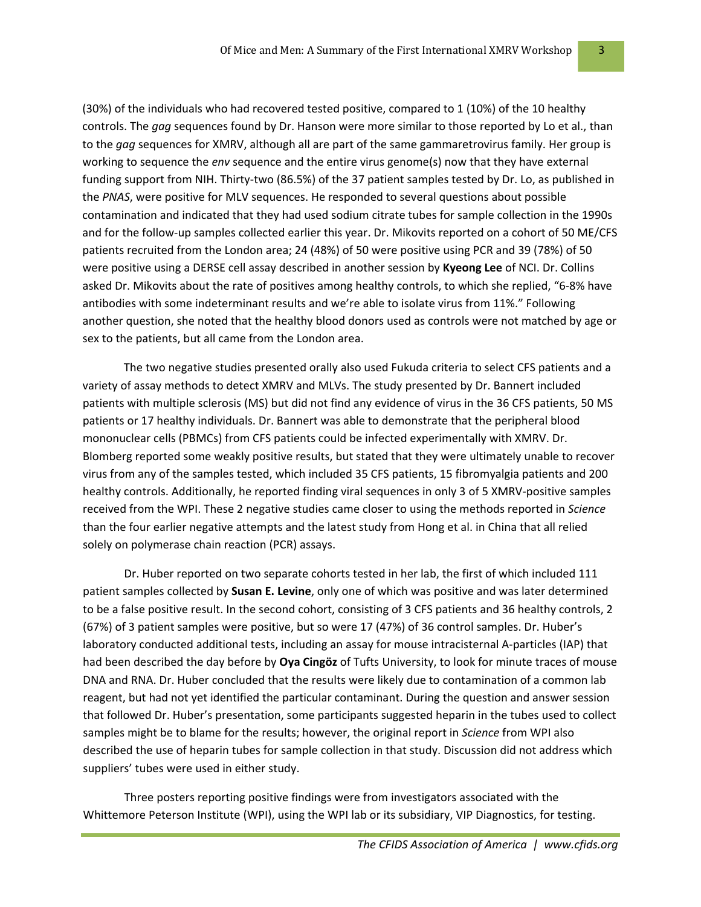(30%) of the individuals who had recovered tested positive, compared to 1 (10%) of the 10 healthy controls. The *gag* sequences found by Dr. Hanson were more similar to those reported by Lo et al., than to the *gag* sequences for XMRV, although all are part of the same gammaretrovirus family. Her group is working to sequence the *env* sequence and the entire virus genome(s) now that they have external funding support from NIH. Thirty-two (86.5%) of the 37 patient samples tested by Dr. Lo, as published in the *PNAS*, were positive for MLV sequences. He responded to several questions about possible contamination and indicated that they had used sodium citrate tubes for sample collection in the 1990s and for the follow-up samples collected earlier this year. Dr. Mikovits reported on a cohort of 50 ME/CFS patients recruited from the London area; 24 (48%) of 50 were positive using PCR and 39 (78%) of 50 were positive using a DERSE cell assay described in another session by **Kyeong Lee** of NCI. Dr. Collins asked Dr. Mikovits about the rate of positives among healthy controls, to which she replied, "6‐8% have antibodies with some indeterminant results and we're able to isolate virus from 11%." Following another question, she noted that the healthy blood donors used as controls were not matched by age or sex to the patients, but all came from the London area.

The two negative studies presented orally also used Fukuda criteria to select CFS patients and a variety of assay methods to detect XMRV and MLVs. The study presented by Dr. Bannert included patients with multiple sclerosis (MS) but did not find any evidence of virus in the 36 CFS patients, 50 MS patients or 17 healthy individuals. Dr. Bannert was able to demonstrate that the peripheral blood mononuclear cells (PBMCs) from CFS patients could be infected experimentally with XMRV. Dr. Blomberg reported some weakly positive results, but stated that they were ultimately unable to recover virus from any of the samples tested, which included 35 CFS patients, 15 fibromyalgia patients and 200 healthy controls. Additionally, he reported finding viral sequences in only 3 of 5 XMRV-positive samples received from the WPI. These 2 negative studies came closer to using the methods reported in *Science* than the four earlier negative attempts and the latest study from Hong et al. in China that all relied solely on polymerase chain reaction (PCR) assays.

Dr. Huber reported on two separate cohorts tested in her lab, the first of which included 111 patient samples collected by **Susan E. Levine**, only one of which was positive and was later determined to be a false positive result. In the second cohort, consisting of 3 CFS patients and 36 healthy controls, 2 (67%) of 3 patient samples were positive, but so were 17 (47%) of 36 control samples. Dr. Huber's laboratory conducted additional tests, including an assay for mouse intracisternal A‐particles (IAP) that had been described the day before by **Oya Cingöz** of Tufts University, to look for minute traces of mouse DNA and RNA. Dr. Huber concluded that the results were likely due to contamination of a common lab reagent, but had not yet identified the particular contaminant. During the question and answer session that followed Dr. Huber's presentation, some participants suggested heparin in the tubes used to collect samples might be to blame for the results; however, the original report in *Science* from WPI also described the use of heparin tubes for sample collection in that study. Discussion did not address which suppliers' tubes were used in either study.

Three posters reporting positive findings were from investigators associated with the Whittemore Peterson Institute (WPI), using the WPI lab or its subsidiary, VIP Diagnostics, for testing.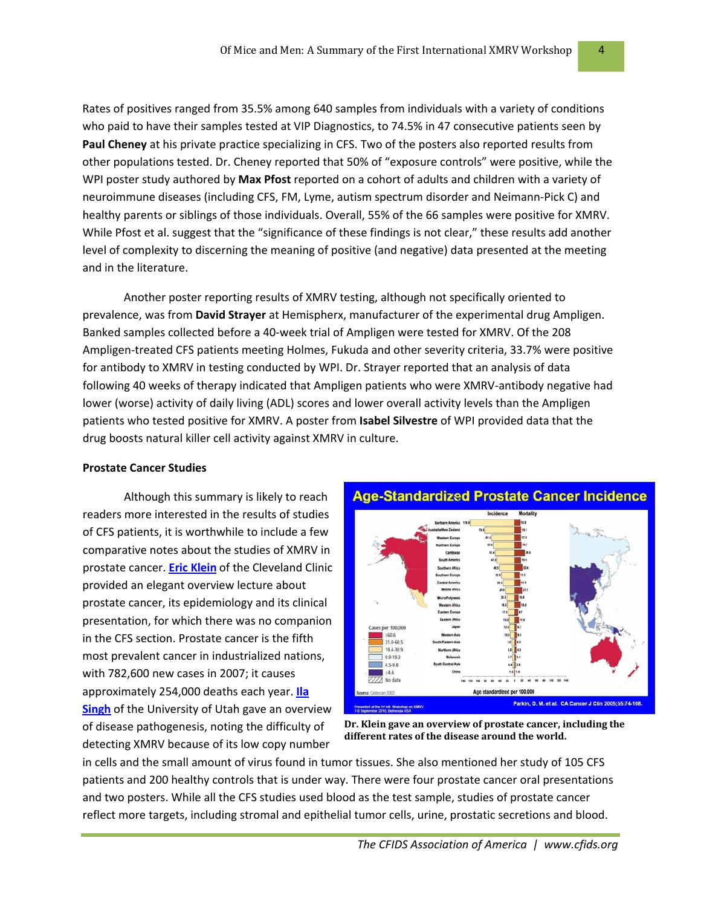Rates of positives ranged from 35.5% among 640 samples from individuals with a variety of conditions who paid to have their samples tested at VIP Diagnostics, to 74.5% in 47 consecutive patients seen by **Paul Cheney** at his private practice specializing in CFS. Two of the posters also reported results from other populations tested. Dr. Cheney reported that 50% of "exposure controls" were positive, while the WPI poster study authored by **Max Pfost** reported on a cohort of adults and children with a variety of neuroimmune diseases (including CFS, FM, Lyme, autism spectrum disorder and Neimann‐Pick C) and healthy parents or siblings of those individuals. Overall, 55% of the 66 samples were positive for XMRV. While Pfost et al. suggest that the "significance of these findings is not clear," these results add another level of complexity to discerning the meaning of positive (and negative) data presented at the meeting and in the literature.

Another poster reporting results of XMRV testing, although not specifically oriented to prevalence, was from **David Strayer** at Hemispherx, manufacturer of the experimental drug Ampligen. Banked samples collected before a 40‐week trial of Ampligen were tested for XMRV. Of the 208 Ampligen‐treated CFS patients meeting Holmes, Fukuda and other severity criteria, 33.7% were positive for antibody to XMRV in testing conducted by WPI. Dr. Strayer reported that an analysis of data following 40 weeks of therapy indicated that Ampligen patients who were XMRV‐antibody negative had lower (worse) activity of daily living (ADL) scores and lower overall activity levels than the Ampligen patients who tested positive for XMRV. A poster from **Isabel Silvestre** of WPI provided data that the drug boosts natural killer cell activity against XMRV in culture.

#### **Prostate Cancer Studies**

Although this summary is likely to reach readers more interested in the results of studies of CFS patients, it is worthwhile to include a few comparative notes about the studies of XMRV in prostate cancer. **Eric [Klein](http://regist2.virology-education.com/1XMRV/docs/12_Klein.pdf)** of the Cleveland Clinic provided an elegant overview lecture about prostate cancer, its epidemiology and its clinical presentation, for which there was no companion in the CFS section. Prostate cancer is the fifth most prevalent cancer in industrialized nations, with 782,600 new cases in 2007; it causes approximately 254,000 deaths each year. **[Ila](http://regist2.virology-education.com/1XMRV/docs/13_Singh.pdf) [Singh](http://regist2.virology-education.com/1XMRV/docs/13_Singh.pdf)** of the University of Utah gave an overview of disease pathogenesis, noting the difficulty of detecting XMRV because of its low copy number



**Dr. Klein gave an overview of prostate cancer, including the different rates of the disease around the world.**

in cells and the small amount of virus found in tumor tissues. She also mentioned her study of 105 CFS patients and 200 healthy controls that is under way. There were four prostate cancer oral presentations and two posters. While all the CFS studies used blood as the test sample, studies of prostate cancer reflect more targets, including stromal and epithelial tumor cells, urine, prostatic secretions and blood.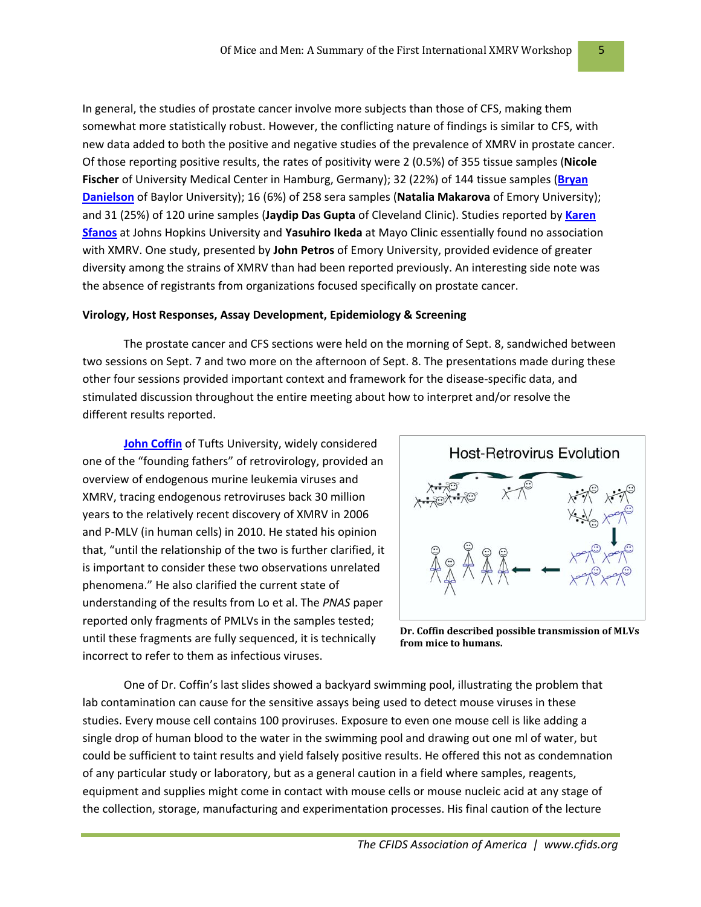In general, the studies of prostate cancer involve more subjects than those of CFS, making them somewhat more statistically robust. However, the conflicting nature of findings is similar to CFS, with new data added to both the positive and negative studies of the prevalence of XMRV in prostate cancer. Of those reporting positive results, the rates of positivity were 2 (0.5%) of 355 tissue samples (**Nicole Fischer** of University Medical Center in Hamburg, Germany); 32 (22%) of 144 tissue samples (**[Bryan](http://regist2.virology-education.com/1XMRV/docs/17_Danielson.pdf) [Danielson](http://regist2.virology-education.com/1XMRV/docs/17_Danielson.pdf)** of Baylor University); 16 (6%) of 258 sera samples (**Natalia Makarova** of Emory University); and 31 (25%) of 120 urine samples (**Jaydip Das Gupta** of Cleveland Clinic). Studies reported by **[Karen](http://regist2.virology-education.com/1XMRV/docs/15_Sfanos.pdf) [Sfanos](http://regist2.virology-education.com/1XMRV/docs/15_Sfanos.pdf)** at Johns Hopkins University and **Yasuhiro Ikeda** at Mayo Clinic essentially found no association with XMRV. One study, presented by **John Petros** of Emory University, provided evidence of greater diversity among the strains of XMRV than had been reported previously. An interesting side note was the absence of registrants from organizations focused specifically on prostate cancer.

#### **Virology, Host Responses, Assay Development, Epidemiology & Screening**

The prostate cancer and CFS sections were held on the morning of Sept. 8, sandwiched between two sessions on Sept. 7 and two more on the afternoon of Sept. 8. The presentations made during these other four sessions provided important context and framework for the disease‐specific data, and stimulated discussion throughout the entire meeting about how to interpret and/or resolve the different results reported.

**John [Coffin](http://regist2.virology-education.com/1XMRV/docs/01_Coffin.pdf)** of Tufts University, widely considered one of the "founding fathers" of retrovirology, provided an overview of endogenous murine leukemia viruses and XMRV, tracing endogenous retroviruses back 30 million years to the relatively recent discovery of XMRV in 2006 and P‐MLV (in human cells) in 2010. He stated his opinion that, "until the relationship of the two is further clarified, it is important to consider these two observations unrelated phenomena." He also clarified the current state of understanding of the results from Lo et al. The *PNAS* paper reported only fragments of PMLVs in the samples tested; until these fragments are fully sequenced, it is technically incorrect to refer to them as infectious viruses.



**Dr. Coffin described possible transmission of MLVs from mice to humans.**

One of Dr. Coffin's last slides showed a backyard swimming pool, illustrating the problem that lab contamination can cause for the sensitive assays being used to detect mouse viruses in these studies. Every mouse cell contains 100 proviruses. Exposure to even one mouse cell is like adding a single drop of human blood to the water in the swimming pool and drawing out one ml of water, but could be sufficient to taint results and yield falsely positive results. He offered this not as condemnation of any particular study or laboratory, but as a general caution in a field where samples, reagents, equipment and supplies might come in contact with mouse cells or mouse nucleic acid at any stage of the collection, storage, manufacturing and experimentation processes. His final caution of the lecture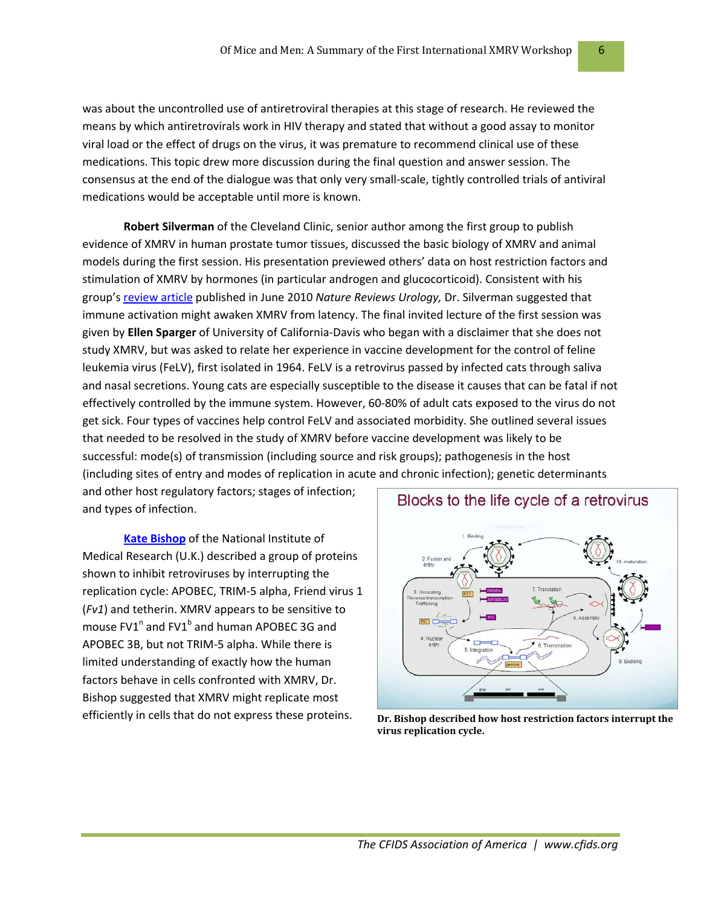was about the uncontrolled use of antiretroviral therapies at this stage of research. He reviewed the means by which antiretrovirals work in HIV therapy and stated that without a good assay to monitor viral load or the effect of drugs on the virus, it was premature to recommend clinical use of these medications. This topic drew more discussion during the final question and answer session. The consensus at the end of the dialogue was that only very small‐scale, tightly controlled trials of antiviral medications would be acceptable until more is known.

**Robert Silverman** of the Cleveland Clinic, senior author among the first group to publish evidence of XMRV in human prostate tumor tissues, discussed the basic biology of XMRV and animal models during the first session. His presentation previewed others' data on host restriction factors and stimulation of XMRV by hormones (in particular androgen and glucocorticoid). Consistent with his group's [review](http://www.nature.com/nrurol/journal/v7/n7/full/nrurol.2010.77.html) article published in June 2010 *Nature Reviews Urology,* Dr. Silverman suggested that immune activation might awaken XMRV from latency. The final invited lecture of the first session was given by **Ellen Sparger** of University of California‐Davis who began with a disclaimer that she does not study XMRV, but was asked to relate her experience in vaccine development for the control of feline leukemia virus (FeLV), first isolated in 1964. FeLV is a retrovirus passed by infected cats through saliva and nasal secretions. Young cats are especially susceptible to the disease it causes that can be fatal if not effectively controlled by the immune system. However, 60‐80% of adult cats exposed to the virus do not get sick. Four types of vaccines help control FeLV and associated morbidity. She outlined several issues that needed to be resolved in the study of XMRV before vaccine development was likely to be successful: mode(s) of transmission (including source and risk groups); pathogenesis in the host (including sites of entry and modes of replication in acute and chronic infection); genetic determinants

and other host regulatory factors; stages of infection; and types of infection.

**Kate [Bishop](http://regist2.virology-education.com/1XMRV/docs/08_Bishop.pdf)** of the National Institute of Medical Research (U.K.) described a group of proteins shown to inhibit retroviruses by interrupting the replication cycle: APOBEC, TRIM‐5 alpha, Friend virus 1 (*Fv1*) and tetherin. XMRV appears to be sensitive to mouse  $FVI<sup>n</sup>$  and  $FVI<sup>b</sup>$  and human APOBEC 3G and APOBEC 3B, but not TRIM‐5 alpha. While there is limited understanding of exactly how the human factors behave in cells confronted with XMRV, Dr. Bishop suggested that XMRV might replicate most efficiently in cells that do not express these proteins. **Dr. Bishop described how host restriction factors interrupt the**



Blocks to the life cycle of a retrovirus

**virus replication cycle.**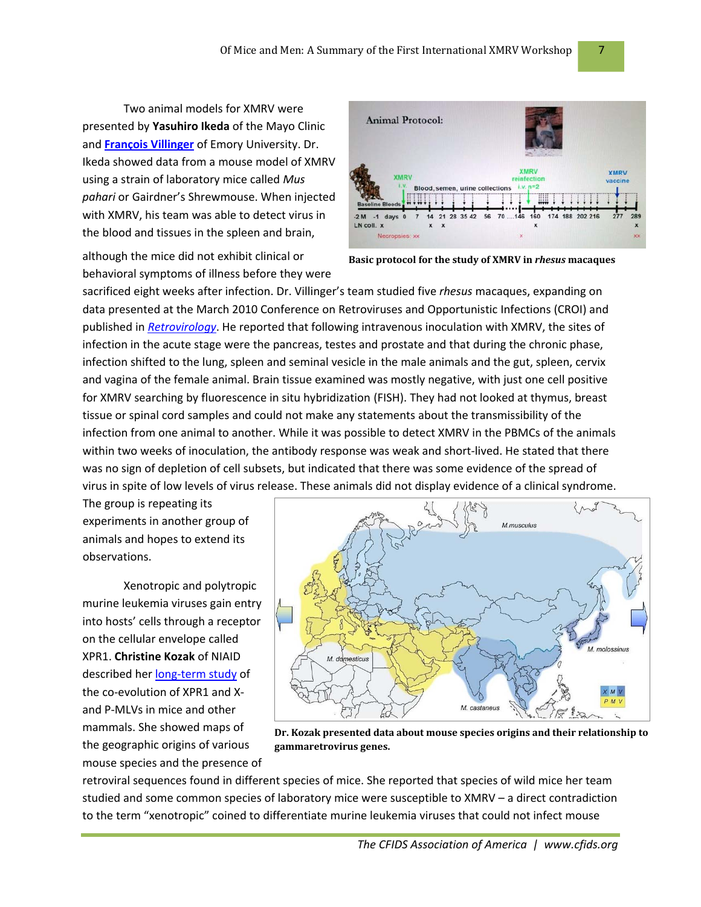Two animal models for XMRV were presented by **Yasuhiro Ikeda** of the Mayo Clinic and **[François](http://regist2.virology-education.com/1XMRV/docs/10_Villinger.pdf) Villinger** of Emory University. Dr. Ikeda showed data from a mouse model of XMRV using a strain of laboratory mice called *Mus pahari* or Gairdner's Shrewmouse. When injected with XMRV, his team was able to detect virus in the blood and tissues in the spleen and brain,

although the mice did not exhibit clinical or behavioral symptoms of illness before they were



**Basic protocol for the study of XMRV in** *rhesus* **macaques**

sacrificed eight weeks after infection. Dr. Villinger's team studied five *rhesus* macaques, expanding on data presented at the March 2010 Conference on Retroviruses and Opportunistic Infections (CROI) and published in *[Retrovirology](http://www.retrovirology.com/content/7/1/68)*. He reported that following intravenous inoculation with XMRV, the sites of infection in the acute stage were the pancreas, testes and prostate and that during the chronic phase, infection shifted to the lung, spleen and seminal vesicle in the male animals and the gut, spleen, cervix and vagina of the female animal. Brain tissue examined was mostly negative, with just one cell positive for XMRV searching by fluorescence in situ hybridization (FISH). They had not looked at thymus, breast tissue or spinal cord samples and could not make any statements about the transmissibility of the infection from one animal to another. While it was possible to detect XMRV in the PBMCs of the animals within two weeks of inoculation, the antibody response was weak and short-lived. He stated that there was no sign of depletion of cell subsets, but indicated that there was some evidence of the spread of virus in spite of low levels of virus release. These animals did not display evidence of a clinical syndrome.

The group is repeating its experiments in another group of animals and hopes to extend its observations.

Xenotropic and polytropic murine leukemia viruses gain entry into hosts' cells through a receptor on the cellular envelope called XPR1. **Christine Kozak** of NIAID described her long-term [study](http://www.ncbi.nlm.nih.gov/pubmed/20844050) of the co-evolution of XPR1 and Xand P‐MLVs in mice and other mammals. She showed maps of the geographic origins of various mouse species and the presence of



**Dr. Kozak presented data about mouse species origins and their relationship to gammaretrovirus genes.**

retroviral sequences found in different species of mice. She reported that species of wild mice her team studied and some common species of laboratory mice were susceptible to XMRV – a direct contradiction to the term "xenotropic" coined to differentiate murine leukemia viruses that could not infect mouse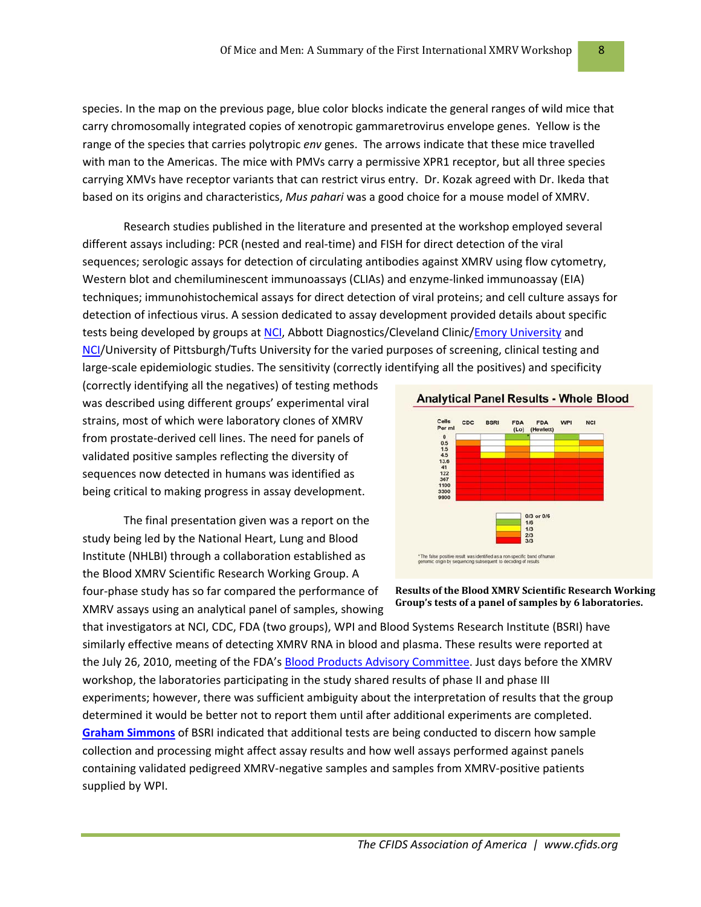species. In the map on the previous page, blue color blocks indicate the general ranges of wild mice that carry chromosomally integrated copies of xenotropic gammaretrovirus envelope genes. Yellow is the range of the species that carries polytropic *env* genes. The arrows indicate that these mice travelled with man to the Americas. The mice with PMVs carry a permissive XPR1 receptor, but all three species carrying XMVs have receptor variants that can restrict virus entry. Dr. Kozak agreed with Dr. Ikeda that based on its origins and characteristics, *Mus pahari* was a good choice for a mouse model of XMRV.

Research studies published in the literature and presented at the workshop employed several different assays including: PCR (nested and real‐time) and FISH for direct detection of the viral sequences; serologic assays for detection of circulating antibodies against XMRV using flow cytometry, Western blot and chemiluminescent immunoassays (CLIAs) and enzyme-linked immunoassay (EIA) techniques; immunohistochemical assays for direct detection of viral proteins; and cell culture assays for detection of infectious virus. A session dedicated to assay development provided details about specific tests being developed by groups at [NCI](http://regist2.virology-education.com/1XMRV/docs/24_Bagni.pdf), Abbott Diagnostics/Cleveland Clinic/Emory [University](http://regist2.virology-education.com/1XMRV/docs/26_Qiu.pdf) and [NCI/](http://regist2.virology-education.com/1XMRV/docs/27_Kearney.pdf)University of Pittsburgh/Tufts University for the varied purposes of screening, clinical testing and large-scale epidemiologic studies. The sensitivity (correctly identifying all the positives) and specificity

(correctly identifying all the negatives) of testing methods was described using different groups' experimental viral strains, most of which were laboratory clones of XMRV from prostate‐derived cell lines. The need for panels of validated positive samples reflecting the diversity of sequences now detected in humans was identified as being critical to making progress in assay development.

The final presentation given was a report on the study being led by the National Heart, Lung and Blood Institute (NHLBI) through a collaboration established as the Blood XMRV Scientific Research Working Group. A four‐phase study has so far compared the performance of

XMRV assays using an analytical panel of samples, showing



**Results of the Blood XMRV Scientific Research Working Group's tests of a panel of samples by 6 laboratories.**

that investigators at NCI, CDC, FDA (two groups), WPI and Blood Systems Research Institute (BSRI) have similarly effective means of detecting XMRV RNA in blood and plasma. These results were reported at the July 26, 2010, meeting of the FDA's Blood Products Advisory [Committee](http://www.fda.gov/AdvisoryCommittees/CommitteesMeetingMaterials/BloodVaccinesandOtherBiologics/BloodProductsAdvisoryCommittee/ucm218968.htm). Just days before the XMRV workshop, the laboratories participating in the study shared results of phase II and phase III experiments; however, there was sufficient ambiguity about the interpretation of results that the group determined it would be better not to report them until after additional experiments are completed. **Graham [Simmons](http://regist2.virology-education.com/1XMRV/docs/30_Simmons.pdf)** of BSRI indicated that additional tests are being conducted to discern how sample collection and processing might affect assay results and how well assays performed against panels containing validated pedigreed XMRV‐negative samples and samples from XMRV‐positive patients supplied by WPI.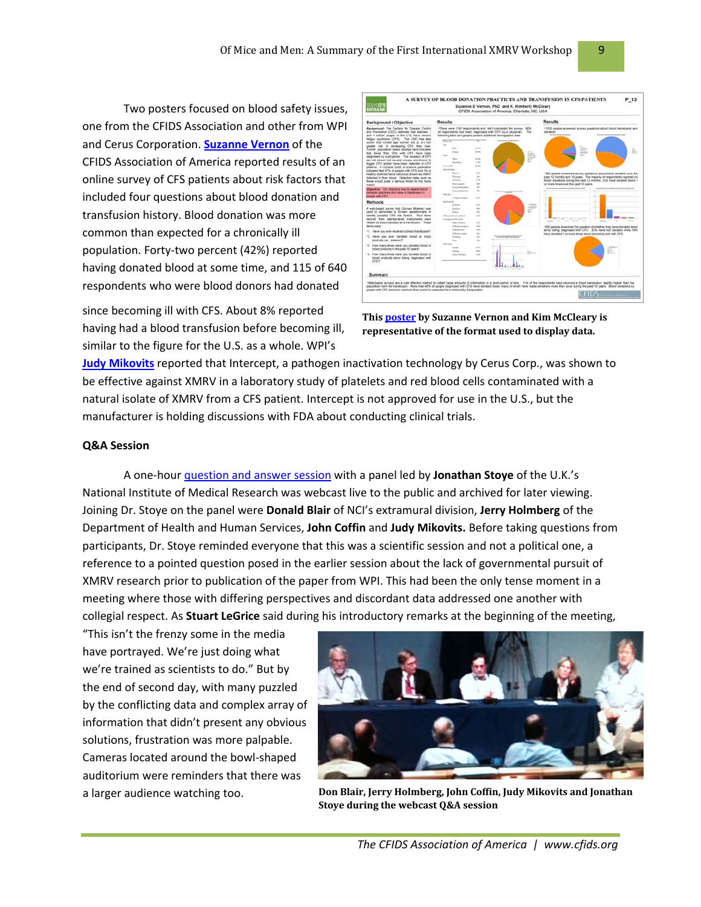Two posters focused on blood safety issues, one from the CFIDS Association and other from WPI and Cerus Corporation. **[Suzanne](http://www.cfids.org/xmrv/blood-cfs-2010.pdf) Vernon** of the CFIDS Association of America reported results of an online survey of CFS patients about risk factors that included four questions about blood donation and transfusion history. Blood donation was more common than expected for a chronically ill population. Forty‐two percent (42%) reported having donated blood at some time, and 115 of 640 respondents who were blood donors had donated

since becoming ill with CFS. About 8% reported having had a blood transfusion before becoming ill, similar to the figure for the U.S. as a whole. WPI's



**This [poster](http://www.cfids.org/xmrv/blood-cfs-2010.pdf) by Suzanne Vernon and Kim McCleary is representative of the format used to display data.**

**Judy [Mikovits](http://www.bradenton.com/2010/09/07/2556738/whittemore-peterson-institute.html)** reported that Intercept, a pathogen inactivation technology by Cerus Corp., was shown to be effective against XMRV in a laboratory study of platelets and red blood cells contaminated with a natural isolate of XMRV from a CFS patient. Intercept is not approved for use in the U.S., but the manufacturer is holding discussions with FDA about conducting clinical trials.

### **Q&A Session**

A one‐hour [question](http://videocast.nih.gov/Summary.asp?File=16098) and answer session with a panel led by **Jonathan Stoye** of the U.K.'s National Institute of Medical Research was webcast live to the public and archived for later viewing. Joining Dr. Stoye on the panel were **Donald Blair** of NCI's extramural division, **Jerry Holmberg** of the Department of Health and Human Services, **John Coffin** and **Judy Mikovits.** Before taking questions from participants, Dr. Stoye reminded everyone that this was a scientific session and not a political one, a reference to a pointed question posed in the earlier session about the lack of governmental pursuit of XMRV research prior to publication of the paper from WPI. This had been the only tense moment in a meeting where those with differing perspectives and discordant data addressed one another with collegial respect. As **Stuart LeGrice** said during his introductory remarks at the beginning of the meeting,

"This isn't the frenzy some in the media have portrayed. We're just doing what we're trained as scientists to do." But by the end of second day, with many puzzled by the conflicting data and complex array of information that didn't present any obvious solutions, frustration was more palpable. Cameras located around the bowl‐shaped auditorium were reminders that there was



a larger audience watching too. **Don Blair, Jerry Holmberg, John Coffin, Judy Mikovits and Jonathan Stoye during the webcast Q&A session**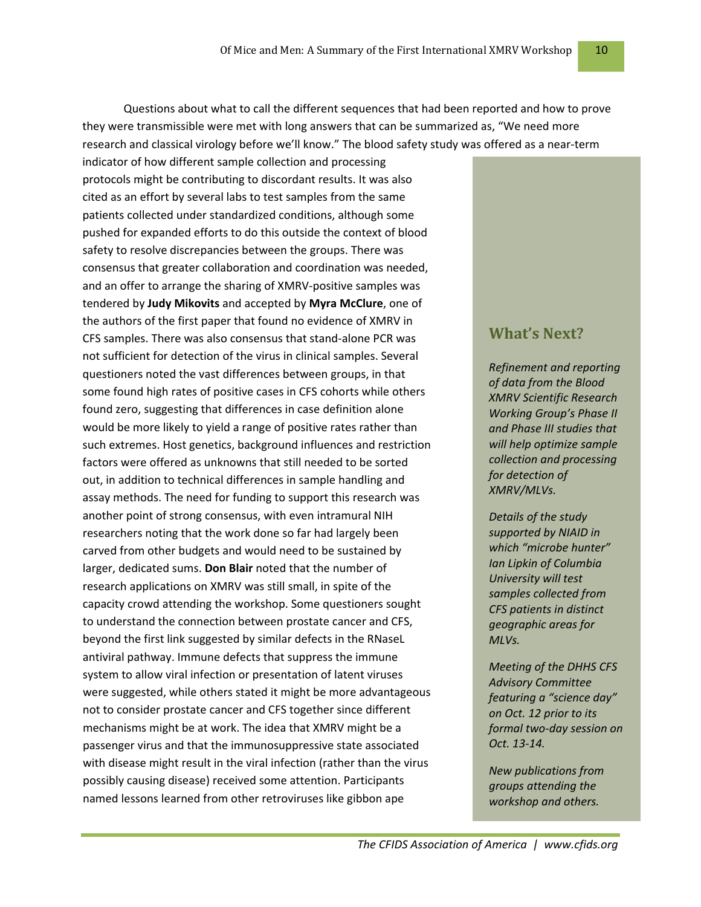Questions about what to call the different sequences that had been reported and how to prove they were transmissible were met with long answers that can be summarized as, "We need more research and classical virology before we'll know." The blood safety study was offered as a near‐term

indicator of how different sample collection and processing protocols might be contributing to discordant results. It was also cited as an effort by several labs to test samples from the same patients collected under standardized conditions, although some pushed for expanded efforts to do this outside the context of blood safety to resolve discrepancies between the groups. There was consensus that greater collaboration and coordination was needed, and an offer to arrange the sharing of XMRV‐positive samples was tendered by **Judy Mikovits** and accepted by **Myra McClure**, one of the authors of the first paper that found no evidence of XMRV in CFS samples. There was also consensus that stand‐alone PCR was not sufficient for detection of the virus in clinical samples. Several questioners noted the vast differences between groups, in that some found high rates of positive cases in CFS cohorts while others found zero, suggesting that differences in case definition alone would be more likely to yield a range of positive rates rather than such extremes. Host genetics, background influences and restriction factors were offered as unknowns that still needed to be sorted out, in addition to technical differences in sample handling and assay methods. The need for funding to support this research was another point of strong consensus, with even intramural NIH researchers noting that the work done so far had largely been carved from other budgets and would need to be sustained by larger, dedicated sums. **Don Blair** noted that the number of research applications on XMRV was still small, in spite of the capacity crowd attending the workshop. Some questioners sought to understand the connection between prostate cancer and CFS, beyond the first link suggested by similar defects in the RNaseL antiviral pathway. Immune defects that suppress the immune system to allow viral infection or presentation of latent viruses were suggested, while others stated it might be more advantageous not to consider prostate cancer and CFS together since different mechanisms might be at work. The idea that XMRV might be a passenger virus and that the immunosuppressive state associated with disease might result in the viral infection (rather than the virus possibly causing disease) received some attention. Participants named lessons learned from other retroviruses like gibbon ape

## **What's Next?**

*Refinement and reporting of data from the Blood XMRV Scientific Research Working Group's Phase II and Phase III studies that will help optimize sample collection and processing for detection of XMRV/MLVs.*

*Details of the study supported by NIAID in which "microbe hunter" Ian Lipkin of Columbia University will test samples collected from CFS patients in distinct geographic areas for MLVs.*

*Meeting of the DHHS CFS Advisory Committee featuring a "science day" on Oct. 12 prior to its formal two‐day session on Oct. 13‐14.*

*New publications from groups attending the workshop and others.*